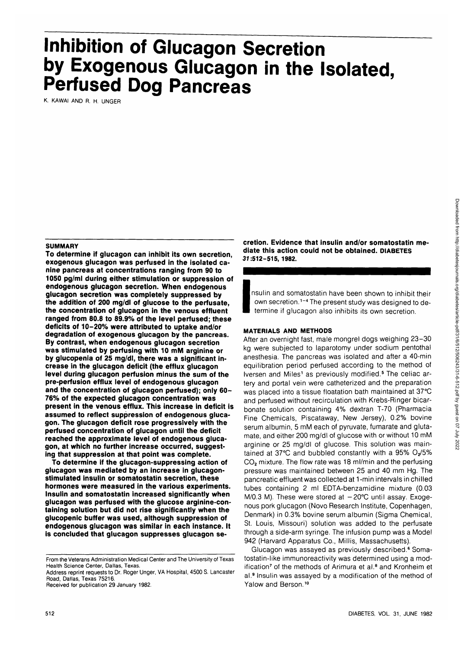# **Inhibition of Glucagon Secretion by Exogenous Glucagon in the Isolated, Perfused Dog Pancreas**

K. KAWAI AND R. H. UNGER

#### **SUMMARY**

**To determine if glucagon can inhibit its own secretion, exogenous glucagon was perfused in the isolated canine pancreas at concentrations ranging from 90 to 1050 pg/ml during either stimulation or suppression of endogenous glucagon secretion. When endogenous glucagon secretion was completely suppressed by the addition of 200 mg/dl of glucose to the perfusate, the concentration of glucagon in the venous effluent ranged from 80.8 to 89.9% of the level perfused; these deficits of 10-20% were attributed to uptake and/or degradation of exogenous glucagon by the pancreas. By contrast, when endogenous glucagon secretion was stimulated by perfusing with 10 mM arginine or by glucopenia of 25 mg/dl, there was a significant increase in the glucagon deficit (the efflux glucagon level during glucagon perfusion minus the sum of the pre-perfusion efflux level of endogenous glucagon and the concentration of glucagon perfused); only 60- 76% of the expected glucagon concentration was present in the venous efflux. This increase in deficit is assumed to reflect suppression of endogenous glucagon. The glucagon deficit rose progressively with the perfused concentration of glucagon until the deficit reached the approximate level of endogenous glucagon, at which no further increase occurred, suggesting that suppression at that point was complete.**

**To determine if the glucagon-suppressing action of glucagon was mediated by an increase in glucagonstimulated insulin or somatostatin secretion, these hormones were measured in the various experiments. Insulin and somatostatin increased significantly when glucagon was perfused with the glucose arginine-containing solution but did not rise significantly when the glucopenic buffer was used, although suppression of endogenous glucagon was similar in each instance. It is concluded that glucagon suppresses glucagon se-**

From the Veterans Administration Medical Center and The University of Texas Health Science Center, Dallas, Texas.

Address reprint requests to Dr. Roger Unger, VA Hospital, 4500 S. Lancaster Road, Dallas, Texas 75216.

Received tor publication 29 January 1982.

**cretion. Evidence that insulin and/or somatostatin mediate this action could not be obtained, DIABETES 37:512-515, 1982.**

**I** nsulin and somatostatin have been shown to inhibit their own secretion.<sup>1-4</sup> The present study was designed to determine if glucagon also inhibits its own secretion.

#### **MATERIALS AND METHODS**

After an overnight fast, male mongrel dogs weighing 23-30 kg were subjected to laparotomy under sodium pentothal anesthesia. The pancreas was isolated and after a 40-min equilibration period perfused according to the method of Iversen and Miles<sup>1</sup> as previously modified.<sup>5</sup> The celiac artery and portal vein were catheterized and the preparation was placed into a tissue floatation bath maintained at 37°C and perfused without recirculation with Krebs-Ringer bicarbonate solution containing 4% dextran T-70 (Pharmacia Fine Chemicals, Piscataway, New Jersey), 0.2% bovine serum albumin, 5 mM each of pyruvate, fumarate and glutamate, and either 200 mg/dl of glucose with or without 10 mM arginine or 25 mg/dl of glucose. This solution was maintained at 37°C and bubbled constantly with a 95% O<sub>2</sub>/5% CO2 mixture. The flow rate was 18 ml/min and the perfusing pressure was maintained between 25 and 40 mm Hg. The pancreatic effluent was collected at 1-min intervals in chilled tubes containing 2 ml EDTA-benzamidine mixture (0.03 M/0.3 M). These were stored at  $-20^{\circ}$ C until assay. Exogenous pork glucagon (Novo Research Institute, Copenhagen, Denmark) in 0.3% bovine serum albumin (Sigma Chemical, St. Louis, Missouri) solution was added to the perfusate through a side-arm syringe. The infusion pump was a Model 942 (Harvard Apparatus Co., Millis, Massachusetts).

Glucagon was assayed as previously described.<sup>6</sup> Somatostatin-like immunoreactivity was determined using a modification<sup>7</sup> of the methods of Arimura et al.<sup>8</sup> and Kronheim et al.<sup>9</sup> Insulin was assayed by a modification of the method of Yalow and Berson.<sup>10</sup>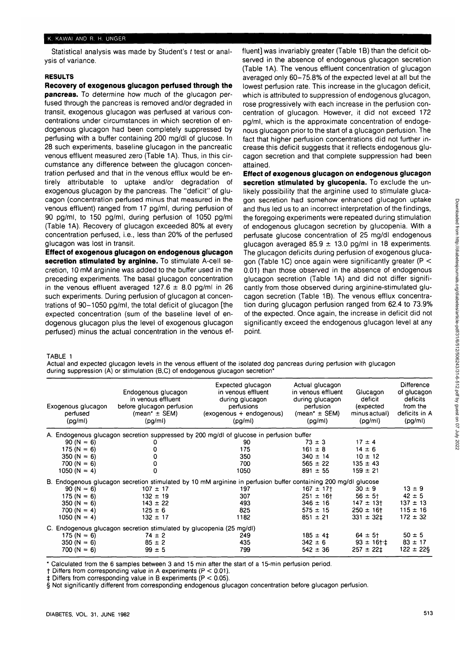#### K. KAWAI AND R. H. UNGER

Statistical analysis was made by Student's t test or analysis of variance.

#### **RESULTS**

**Recovery of exogenous glucagon perfused through the pancreas.** To determine how much of the glucagon perfused through the pancreas is removed and/or degraded in transit, exogenous glucagon was perfused at various concentrations under circumstances in which secretion of endogenous glucagon had been completely suppressed by perfusing with a buffer containing 200 mg/dl of glucose. In 28 such experiments, baseline glucagon in the pancreatic venous effluent measured zero (Table 1A). Thus, in this circumstance any difference between the glucagon concentration perfused and that in the venous efflux would be entirely attributable to uptake and/or degradation of exogenous glucagon by the pancreas. The "deficit" of glucagon (concentration perfused minus that measured in the venous effluent) ranged from 17 pg/ml, during perfusion of 90 pg/ml, to 150 pg/ml, during perfusion of 1050 pg/ml (Table 1A). Recovery of glucagon exceeded 80% at every concentration perfused, i.e., less than 20% of the perfused glucagon was lost in transit.

**Effect of exogenous glucagon on endogenous glucagon secretion stimulated by arginine.** To stimulate A-cell secretion, 10 mM arginine was added to the buffer used in the preceding experiments. The basal glucagon concentration in the venous effluent averaged  $127.6 \pm 8.0$  pg/ml in 26 such experiments. During perfusion of glucagon at concentrations of 90-1050 pg/ml, the total deficit of glucagon [the expected concentration (sum of the baseline level of endogenous glucagon plus the level of exogenous glucagon perfused) minus the actual concentration in the venous effluent] was invariably greater (Table 1B) than the deficit observed in the absence of endogenous glucagon secretion (Table 1A). The venous effluent concentration of glucagon averaged only 60-75.8% of the expected level at all but the lowest perfusion rate. This increase in the glucagon deficit, which is attributed to suppression of endogenous glucagon, rose progressively with each increase in the perfusion concentration of glucagon. However, it did not exceed 172 pg/ml, which is the approximate concentration of endogenous glucagon prior to the start of a glucagon perfusion. The fact that higher perfusion concentrations did not further increase this deficit suggests that it reflects endogenous glucagon secretion and that complete suppression had been attained.

**Effect of exogenous glucagon on endogenous glucagon secretion stimulated by glucopenia.** To exclude the unlikely possibility that the arginine used to stimulate glucagon secretion had somehow enhanced glucagon uptake and thus led us to an incorrect interpretation of the findings, the foregoing experiments were repeated during stimulation of endogenous glucagon secretion by glucopenia. With a perfusate glucose concentration of 25 mg/dl endogenous glucagon averaged  $85.9 \pm 13.0$  pg/ml in 18 experiments. The glucagon deficits during perfusion of exogenous glucagon (Table 1C) once again were significantly greater ( $P <$ 0.01) than those observed in the absence of endogenous glucagon secretion (Table 1A) and did not differ significantly from those observed during arginine-stimulated glucagon secretion (Table 1B). The venous efflux concentration during glucagon perfusion ranged from 62.4 to 73.9% of the expected. Once again, the increase in deficit did not significantly exceed the endogenous glucagon level at any point.

TABLE 1

Actual and expected glucagon levels in the venous effluent of the isolated dog pancreas during perfusion with glucagon during suppression (A) or stimulation (B,C) of endogenous glucagon secretion\*

| Exogenous glucagon<br>perfused<br>(pq/ml)                                                                      | Endogenous glucagon<br>in venous effluent<br>before glucagon perfusion<br>(mean <sup>*</sup> $\pm$ SEM)<br>(pg/ml) | Expected glucagon<br>in venous effluent<br>during glucagon<br>perfusions<br>(exogenous + endogenous)<br>(pg/ml) | Actual glucagon<br>in venous effluent<br>during glucagon<br>perfusion<br>(mean <sup>*</sup> $\pm$ SEM)<br>(pq/ml) | Glucagon<br>deficit<br>(expected<br>minus actual)<br>(pg/ml) | Difference<br>of glucagon<br>deficits<br>from the<br>deficits in A<br>(pg/ml) |
|----------------------------------------------------------------------------------------------------------------|--------------------------------------------------------------------------------------------------------------------|-----------------------------------------------------------------------------------------------------------------|-------------------------------------------------------------------------------------------------------------------|--------------------------------------------------------------|-------------------------------------------------------------------------------|
|                                                                                                                |                                                                                                                    | A. Endogenous glucagon secretion suppressed by 200 mg/dl of glucose in perfusion buffer                         |                                                                                                                   |                                                              |                                                                               |
| $90 (N = 6)$                                                                                                   |                                                                                                                    | 90                                                                                                              | $73 \pm 3$                                                                                                        | $17 \pm 4$                                                   |                                                                               |
| 175 (N = 6)                                                                                                    |                                                                                                                    | 175                                                                                                             | $161 \pm 8$                                                                                                       | $14 \pm 6$                                                   |                                                                               |
| $350 (N = 6)$                                                                                                  |                                                                                                                    | 350                                                                                                             | $340 \pm 14$                                                                                                      | $10 \pm 12$                                                  |                                                                               |
| $700 (N = 6)$                                                                                                  | 0                                                                                                                  | 700                                                                                                             | $565 \pm 22$                                                                                                      | $135 \pm 43$                                                 |                                                                               |
| 1050 (N = 4)                                                                                                   |                                                                                                                    | 1050                                                                                                            | $891 \pm 55$                                                                                                      | $159 \pm 21$                                                 |                                                                               |
| B. Endogenous glucagon secretion stimulated by 10 mM arginine in perfusion buffer containing 200 mg/dl glucose |                                                                                                                    |                                                                                                                 |                                                                                                                   |                                                              |                                                                               |
| $90 (N = 6)$                                                                                                   | $107 \pm 17$                                                                                                       | 197                                                                                                             | $167 + 17$                                                                                                        | $30 \pm 9$                                                   | $13 \pm 9$                                                                    |
| $175 (N = 6)$                                                                                                  | $132 \pm 19$                                                                                                       | 307                                                                                                             | $251 \pm 16$                                                                                                      | $56 \pm 5$ <sup>+</sup>                                      | $42 \pm 5$                                                                    |
| $350 (N = 6)$                                                                                                  | $143 \pm 22$                                                                                                       | 493                                                                                                             | $346 \pm 16$                                                                                                      | $147 + 13$                                                   | $137 \pm 13$                                                                  |
| $700 (N = 4)$                                                                                                  | $125 \pm 6$                                                                                                        | 825                                                                                                             | $575 \pm 15$                                                                                                      | $250 \pm 16$ t                                               | $115 \pm 16$                                                                  |
| 1050 (N = 4)                                                                                                   | $132 \pm 17$                                                                                                       | 1182                                                                                                            | $851 \pm 21$                                                                                                      | $331 \pm 321$                                                | $172 \pm 32$                                                                  |
|                                                                                                                | C. Endogenous glucagon secretion stimulated by glucopenia (25 mg/dl)                                               |                                                                                                                 |                                                                                                                   |                                                              |                                                                               |
| 175 (N = 6)                                                                                                    | $74 \pm 2$                                                                                                         | 249                                                                                                             | $185 \pm 41$                                                                                                      | $64 \pm 5$ t                                                 | $50 \pm 5$                                                                    |
| 350 (N = 6)                                                                                                    | $85 \pm 2$                                                                                                         | 435                                                                                                             | $342 \pm 6$                                                                                                       | $93 \pm 16$ † $\pm$                                          | $83 \pm 17$                                                                   |
| $700 (N = 6)$                                                                                                  | $99 \pm 5$                                                                                                         | 799                                                                                                             | $542 \pm 36$                                                                                                      | $257 \pm 221$                                                | $122 \pm 22$ §                                                                |

\* Calculated from the 6 samples between 3 and 15 min after the start of a 15-min perfusion period.

 $\dagger$  Differs from corresponding value in A experiments (P < 0.01).

 $\ddagger$  Differs from corresponding value in B experiments (P < 0.05).

§ Not significantly different from corresponding endogenous glucagon concentration before glucagon perfusion.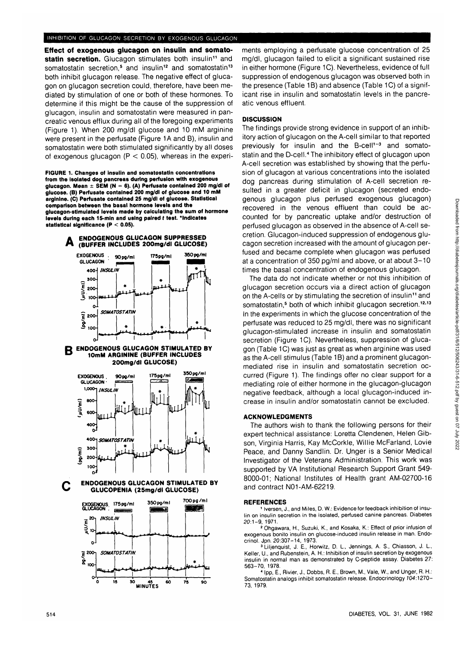## INHIBITION OF GLUCAGON SECRETION BY EXOGENOUS GLUCAGON

**Effect of exogenous glucagon on insulin and somato**statin secretion. Glucagon stimulates both insulin<sup>11</sup> and somatostatin secretion,<sup>5</sup> and insulin<sup>12</sup> and somatostatin<sup>13</sup> both inhibit glucagon release. The negative effect of glucagon on glucagon secretion could, therefore, have been mediated by stimulation of one or both of these hormones. To determine if this might be the cause of the suppression of glucagon, insulin and somatostatin were measured in pancreatic venous efflux during all of the foregoing experiments (Figure 1). When 200 mg/dl glucose and 10 mM arginine were present in the perfusate (Figure 1A and B), insulin and somatostatin were both stimulated significantly by all doses of exogenous glucagon ( $P < 0.05$ ), whereas in the experi-

**FIGURE 1. Changes of insulin and somatostatin concentrations from the Isolated dog pancreas during perfuslon with exogenous glucagon. Mean ± SEM (N = 6). (A) Perfusate contained 200 mg/dl of glucose. (B) Perfusate contained 200 mg/dl of glucose and 10 mM arginine. (C) Perfusate contained 25 mg/dl of glucose. Statistical comparison between the basal hormone levels and the glucagon-stimulated levels made by calculating the sum of hormone levels during each 15-mln and using paired t test. 'Indicates statistical significance (P < 0.05).**



**SO 45 60 MINUTES**

ŵ

90

żs.

ments employing a perfusate glucose concentration of 25 mg/dl, glucagon failed to elicit a significant sustained rise in either hormone (Figure 1C). Nevertheless, evidence of full suppression of endogenous glucagon was observed both in the presence (Table 1B) and absence (Table 1C) of a significant rise in insulin and somatostatin levels in the pancreatic venous effluent.

## **DISCUSSION**

The findings provide strong evidence in support of an inhibitory action of glucagon on the A-cell similar to that reported previously for insulin and the B-cell<sup>1-3</sup> and somatostatin and the D-cell.<sup>4</sup> The inhibitory effect of glucagon upon A-cell secretion was established by showing that the perfusion of glucagon at various concentrations into the isolated dog pancreas during stimulation of A-cell secretion resulted in a greater deficit in glucagon (secreted endogenous glucagon plus perfused exogenous glucagon) recovered in the venous effluent than could be accounted for by pancreatic uptake and/or destruction of perfused glucagon as observed in the absence of A-cell secretion. Glucagon-induced suppression of endogenous glucagon secretion increased with the amount of glucagon perfused and became complete when glucagon was perfused at a concentration of 350 pg/ml and above, or at about 3-10 times the basal concentration of endogenous glucagon.

The data do not indicate whether or not this inhibition of glucagon secretion occurs via a direct action of glucagon on the A-cells or by stimulating the secretion of insulin<sup>11</sup> and somatostatin,<sup>5</sup> both of which inhibit glucagon secretion.<sup>12,13</sup> In the experiments in which the glucose concentration of the perfusate was reduced to 25 mg/dl, there was no significant glucagon-stimulated increase in insulin and somatostatin secretion (Figure 1C). Nevertheless, suppression of glucagon (Table 1C) was just as great as when arginine was used as the A-cell stimulus (Table 1B) and a prominent glucagonmediated rise in insulin and somatostatin secretion occurred (Figure 1). The findings offer no clear support for a mediating role of either hormone in the glucagon-glucagon negative feedback, although a local glucagon-induced increase in insulin and/or somatostatin cannot be excluded.

## **ACKNOWLEDGMENTS**

The authors wish to thank the following persons for their expert technical assistance: Loretta Clendenen, Helen Gibson, Virginia Harris, Kay McCorkle, Willie McFarland, Lovie Peace, and Danny Sandlin. Dr. Unger is a Senior Medical Investigator of the Veterans Administration. This work was supported by VA Institutional Research Support Grant 549- 8000-01; National Institutes of Health grant AM-02700-16 and contract N01-AM-62219.

#### **REFERENCES**

1versen, J., and Miles, D. W.: Evidence for feedback inhibition of insulin on insulin secretion in the isolated, perfused canine pancreas. Diabetes  $20:1-9, 1971.$ 

 Ohgawara, H., Suzuki, K., and Kosaka, K.: Effect of prior infusion of exogenous bonito insulin on glucose-induced insulin release in man. Endocrinol. Jpn. 20:307-14, 1973.

 Liljenquist, J. E., Horwitz, D. L, Jennings, A. S., Chiasson, J. L, Keller, U., and Rubenstein, A. H.: Inhibition of insulin secretion by exogenous insulin in normal man as demonstrated by C-peptide assay. Diabetes 27: 563-70, 1978

<sup>4</sup> Ipp, E., Rivier, J., Dobbs, R. E., Brown, M., Vale, W., and Unger, R. H.: Somatostatin analogs inhibit somatostatin release. Endocrinology 704:1270- 73, 1979.